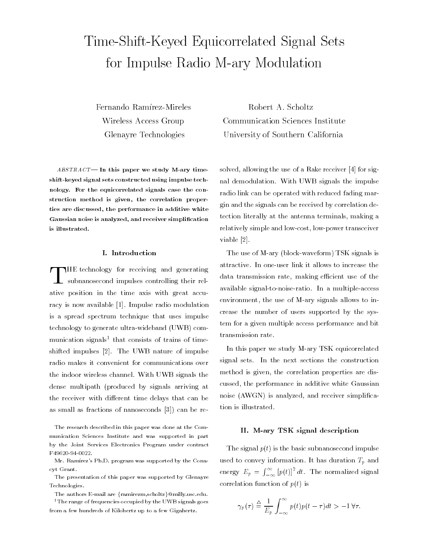# Time-Shift-Keyed Equicorrelated Signal Setsfor Impulse Radio M-ary Modulation

Wireless Access Group

 $ABSTRACT$  In this paper we study M-ary timeshift-keyed signal sets constructed using impulse technology. For the equicorrelated signals case the construction method is given, the correlation properties are discussed, the performance in additive whiteGaussian noise is analyzed, and receiver simplicationis illustrated.

#### I. Introduction

THE technology for receiving and generating subnanosecond impulses controlling their relative position in the time axis with great accuracy is now available [1]. Impulse radio modulation is a spread spectrum technique that uses impulse technology to generate ultra-wideband (UWB) com munication signals<sup>-</sup> that consists of trains of timeshifted impulses [2]. The UWB nature of impulse radio makes it convenient for communications over the indoor wireless channel. With UWB signals the dense multipath (produced by signals arriving at the receiver with different time delays that can be as small as fractions of nanoseconds [3]) can be re-

The research described in this paper was done at the Com munication Sciences Institute and was supported in part by the Joint Services Electronics Program under contract F49620-94-0022.

Mr. Ramírez's Ph.D. program was supported by the Conacyt Grant.

The presentation of this paper was supported by Glenayre Technologies.

The authors E-mail are  $\{ \text{ramirezm}, \text{scholtz} \} @\text{milly.}$ usc.edu. <sup>1</sup> The range of frequencies occupied by the UWB signals goes

from a few hundreds of Kilohertz up to a few Gigahertz.

Fernando Ramírez-Mireles Robert A. Scholtz Communication Sciences Institute Glenayre Technologies University of Southern California

> solved, allowing the use of a Rake receiver [4] for signal demodulation. With UWB signals the impulse radio link can be operated with reduced fading margin and the signals can be received by correlation detection literally at the antenna terminals, making a relatively simple and low-cost, low-power transceiver viable [2].

> The use of M-ary (block-waveform) TSK signals is attractive. In one-user link it allows to increase the data transmission rate, making efficient use of the available signal-to-noise-ratio. In a multiple-access environment, the use of M-ary signals allows to increase the number of users supported by the system for a given multiple access performance and bit transmission rate.

> In this paper we study M-ary TSK equicorrelated signal sets. In the next sections the construction method is given, the correlation properties are discussed, the performance in additive white Gaussian noise (AWGN) is analyzed, and receiver simplication is illustrated.

#### II. M-ary TSK signal description

The signal  $p(t)$  is the basic subnanosecond impulse used to convey information. It has duration  $T_p$  and energy  $E_p = \int_{-\infty}^{\infty} \left[ p(t) \right]^2 dt$ . The normalized signal correlation function of  $p(t)$  is

$$
\gamma_p(\tau) \stackrel{\triangle}{=} \frac{1}{E_p} \int_{-\infty}^{\infty} p(t)p(t-\tau)dt > -1 \,\forall \tau.
$$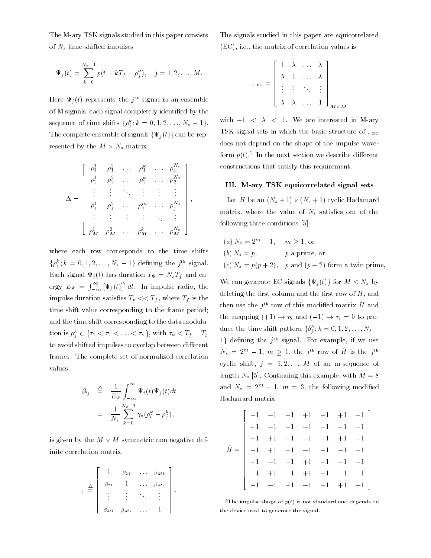The M-ary TSK signals studied in this paper consists of  $N_s$  time-shifted impulses

$$
\Psi_j(t) = \sum_{k=0}^{N_s-1} p(t - kT_f - \rho_j^k), \quad j = 1, 2, ..., M.
$$

Here  $\Psi_j(t)$  represents the  $j^+$  signal in an ensemble of M signals, each signal completely identied by the sequence of time shifts  $\{\rho_i^j; k=0,1,2,\ldots,N_s-1\}$ . The complete ensemble of signals  $\{\Psi_j(t)\}\$ can be represented by the <sup>M</sup> - Ns matrix

$$
\Delta = \begin{bmatrix} \rho_1^1 & \rho_1^2 & \cdots & \rho_1^k & \cdots & \rho_1^{N_s} \\ \rho_2^1 & \rho_2^2 & \cdots & \rho_2^k & \cdots & \rho_2^{N_s} \\ \vdots & \vdots & \ddots & \vdots & \vdots & \vdots \\ \rho_j^1 & \rho_j^2 & \cdots & \rho_j^m & \cdots & \rho_j^{N_s} \\ \vdots & \vdots & \vdots & \vdots & \ddots & \vdots \\ \rho_M^1 & \rho_M^2 & \cdots & \rho_M^k & \cdots & \rho_M^{N_s} \end{bmatrix},
$$

**Property** and the property of the property of the property of the property of the property of the property of the property of the property of the property of the property of the property of the property of the property of

where each row corresponds to the time shifts  $\{\rho_j^x\}$ ,  $\kappa = 0, 1, 2, \ldots, N_s - 1\}$  defining the  $j^{\ldots}$  signal. Each signal  $\Psi_j(t)$  has duration  $T_{\Psi} = N_s T_f$  and energy  $E_{\Psi} = \int_{-\infty}^{\infty} [\Psi_j(t)]^2 dt$ . In impulse radio, the impulse duration satisfies  $T_p \ll T_f$ , where  $T_f$  is the time shift value corresponding to the frame period; and the time shift corresponding to the data modulation is  $\rho_j \in \{ \tau_1 < \tau_2 < \ldots < \tau_N \}$ , with  $\tau_N < I_f = I_p$ to avoid shifted impulses to overlap between different frames. The complete set of normalized correlation values

$$
\beta_{ij} \triangleq \frac{1}{E_{\Psi}} \int_{-\infty}^{\infty} \Psi_i(t) \Psi_j(t) dt
$$

$$
= \frac{1}{N_s} \sum_{k=0}^{N_s - 1} \gamma_p (\rho_i^k - \rho_j^k),
$$

is given by the <sup>M</sup> - <sup>M</sup> symmetric non negative definite correlation matrix

$$
\begin{array}{rcl}\n\mathbf{A} & \mathbf{B} & \mathbf{B} \\
\mathbf{B} & \mathbf{B} & \mathbf{B} \\
\mathbf{B} & \mathbf{B} & \mathbf{B} \\
\mathbf{B} & \mathbf{B} & \mathbf{B} \\
\vdots & \vdots & \ddots & \vdots \\
\mathbf{B} & \mathbf{B} & \mathbf{B} \\
\mathbf{B} & \mathbf{B} & \mathbf{B} \\
\mathbf{B} & \mathbf{B} & \mathbf{B} \\
\mathbf{B} & \mathbf{B} & \mathbf{B} \\
\mathbf{B} & \mathbf{B} & \mathbf{B} \\
\mathbf{B} & \mathbf{B} & \mathbf{B} \\
\mathbf{B} & \mathbf{B} & \mathbf{B} \\
\mathbf{B} & \mathbf{B} & \mathbf{B} \\
\mathbf{B} & \mathbf{B} & \mathbf{B} \\
\mathbf{B} & \mathbf{B} & \mathbf{B} \\
\mathbf{B} & \mathbf{B} & \mathbf{B} \\
\mathbf{B} & \mathbf{B} & \mathbf{B} \\
\mathbf{B} & \mathbf{B} & \mathbf{B} \\
\mathbf{B} & \mathbf{B} & \mathbf{B} \\
\mathbf{B} & \mathbf{B} & \mathbf{B} \\
\mathbf{B} & \mathbf{B} & \mathbf{B} \\
\mathbf{B} & \mathbf{B} & \mathbf{B} \\
\mathbf{B} & \mathbf{B} & \mathbf{B} \\
\mathbf{B} & \mathbf{B} & \mathbf{B} \\
\mathbf{B} & \mathbf{B} & \mathbf{B} \\
\mathbf{B} & \mathbf{B} & \mathbf{B} \\
\mathbf{B} & \mathbf{B} & \mathbf{B} \\
\mathbf{B} & \mathbf{B} & \mathbf{B} \\
\mathbf{B} & \mathbf{B} & \mathbf{B} \\
\mathbf{B} & \mathbf{B} & \mathbf{B} \\
\mathbf{B} & \mathbf{B} & \mathbf{B} \\
\mathbf{B} & \mathbf{B} & \mathbf{B} \\
\mathbf{B} & \mathbf{B} & \mathbf{B} \\
\mathbf{B} & \mathbf{B} & \mathbf{B} \\
\mathbf{B} & \mathbf{B} & \mathbf{B} \\
\mathbf{B} & \mathbf{B} & \mathbf{B} \\
$$

The signals studied in this paper are equicorrelated (EC), i.e., the matrix of correlation values is

$$
A_{\text{B}} = \begin{bmatrix} 1 & \lambda & \dots & \lambda \\ \lambda & 1 & \dots & \lambda \\ \vdots & \vdots & \ddots & \vdots \\ \lambda & \lambda & \dots & 1 \end{bmatrix}_{M \times M}
$$

with  $-1$  <  $\lambda$  < 1. We are interested in M-ary TSK signal sets in which the basic structure of ,  $_{EC}$ does not depend on the shape of the impulse waveform  $p(t)$ . In the next section we describe different  $\blacksquare$ constructions that satisfy this requirement.

## III. M-ary TSK equicorrelated signal sets

Let <sup>H</sup> be an (Ns + 1) - (Ns + 1) cyclic Hadamard matrix, where the value of  $N_s$  satisfies one of the following three conditions [5]

- (a)  $N_s = 2^m 1$ ,  $m > 1$ , or (b)  $N_s = p$ , p a prime, or
- (c)  $N_s = p(p+2)$ , p and  $(p+2)$  form a twin prime,

We can generate EC signals  $\{\Psi_i(t)\}\$ for  $M \leq N_s$  by deleting the first column and the first row of  $H$ , and then use the  $\jmath^-$  row of this modified matrix  $H$  and the mapping  $(+1) \rightarrow \tau_2$  and  $(-1) \rightarrow \tau_1 = 0$  to produce the time shift pattern  $\{o_j^-, \kappa=0,1,2,\ldots,N_s=1\}$  $1$ } defining the  $j^{\ldots}$  signal. For example, if we use  $N_s = 2^m - 1$ ,  $m \ge 1$ , the j<sup>n</sup> row of H is the j<sup>n</sup> cyclic shift,  $j = 1, 2, ..., M$  of an m-sequence of length  $N_s$  [5]. Continuing this example, with  $M = 8$ and  $N_s = 2^m - 1$ ,  $m = 3$ , the following modified Hadamard matrix

$$
\hat{H} = \begin{bmatrix}\n-1 & -1 & -1 & +1 & -1 & +1 & +1 \\
+1 & -1 & -1 & -1 & +1 & -1 & +1 \\
+1 & +1 & -1 & -1 & -1 & +1 & -1 \\
-1 & +1 & +1 & -1 & -1 & -1 & +1 \\
+1 & -1 & +1 & +1 & -1 & -1 & -1 \\
-1 & +1 & -1 & +1 & +1 & -1 & -1 \\
-1 & -1 & +1 & -1 & +1 & +1 & -1\n\end{bmatrix}
$$

<sup>2</sup>The impulse shape of  $p(t)$  is not standard and depends on the device used to generate the signal.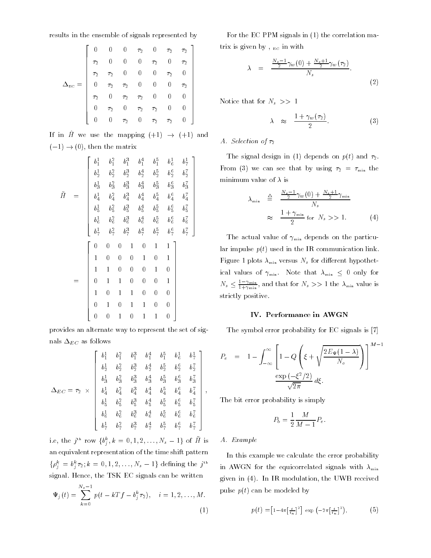results in the ensemble of signals represented by

|   |                | $\overline{0}$ |                                            |            | 0 $\tau_2$ 0 $\tau_2$ $\tau_2$<br>0 0 $\tau_2$ 0 $\tau_2$ |                |          |
|---|----------------|----------------|--------------------------------------------|------------|-----------------------------------------------------------|----------------|----------|
|   | T <sub>2</sub> | $\overline{0}$ |                                            |            |                                                           |                |          |
|   | T <sub>2</sub> | $\tau_2$       | $\tau_2$ 0 0<br>$\tau_2$ 0 0<br>$\tau_2$ 0 |            |                                                           | T <sub>2</sub> |          |
| Δ | 0              | $\tau_2$       |                                            |            |                                                           | 0              | $\tau_2$ |
|   | T <sub>2</sub> | $\overline{0}$ |                                            |            |                                                           | 0              |          |
|   | 0              | $\tau_2$       | $\overline{0}$                             | $\tau_2$   | $\tau_2$                                                  |                |          |
|   |                | $\overline{0}$ |                                            | $\tau_2=0$ | $\tau_2$                                                  | $\tau_2$       |          |

If in  $\hat{H}$  we use the mapping  $(+1) \rightarrow (+1)$  and  $(-1) \rightarrow (0)$ , then the matrix

$$
\tilde{H} = \begin{bmatrix}\nb_1^1 & b_1^2 & b_1^3 & b_1^4 & b_1^5 & b_1^1 & b_1^1 \\
b_2^1 & b_2^2 & b_2^3 & b_2^4 & b_2^5 & b_2^6 & b_2^7 \\
b_3^1 & b_3^2 & b_3^3 & b_3^4 & b_3^5 & b_3^6 & b_3^7 \\
b_4^1 & b_4^2 & b_4^3 & b_4^4 & b_4^5 & b_4^6 & b_4^7 \\
b_5^1 & b_5^2 & b_5^3 & b_5^4 & b_5^5 & b_5^6 & b_5^7 \\
b_6^1 & b_6^2 & b_6^3 & b_6^4 & b_6^5 & b_6^6 & b_6^7 \\
b_7^1 & b_7^2 & b_7^3 & b_7^4 & b_7^5 & b_7^6 & b_7^7\n\end{bmatrix}
$$
\n
$$
= \begin{bmatrix}\n0 & 0 & 0 & 1 & 0 & 1 & 1 \\
0 & 1 & 1 & 0 & 0 & 0 & 1 \\
1 & 1 & 0 & 0 & 0 & 1 & 0 \\
0 & 1 & 1 & 0 & 0 & 0 & 1 \\
1 & 0 & 1 & 1 & 0 & 0 & 0 \\
0 & 1 & 0 & 1 & 1 & 0 & 0 \\
0 & 0 & 1 & 0 & 1 & 1 & 0\n\end{bmatrix}
$$

provides an alternate way to represent the set of signals  $\Delta_{EC}$  as follows

$$
\Delta_{EC} = \tau_2 \times \left| \begin{array}{cccccc} b_1^1 & b_1^2 & b_1^3 & b_1^4 & b_1^5 & b_1^1 & b_1^1 \\ b_2^1 & b_2^2 & b_2^3 & b_2^4 & b_2^5 & b_2^6 & b_2^7 \\ b_3^1 & b_3^2 & b_3^3 & b_3^4 & b_3^5 & b_3^6 & b_3^7 \\ b_4^1 & b_4^2 & b_4^3 & b_4^4 & b_4^5 & b_4^6 & b_4^7 \\ b_5^1 & b_5^2 & b_5^3 & b_5^4 & b_5^5 & b_5^6 & b_5^7 \\ b_6^1 & b_6^2 & b_6^3 & b_6^4 & b_6^5 & b_6^6 & b_6^7 \\ b_7^1 & b_7^2 & b_7^3 & b_7^4 & b_7^5 & b_7^6 & b_7^7 \end{array} \right|,
$$

i.e, the j<sup>--</sup> row  $\{v_j^*, \kappa = 0, 1, 2, ..., N_s - 1\}$  of  $\pi$  is an equivalent representation of the time shift pattern  $\{\rho_i = \rho_i \tau_2; \kappa = 0, 1, 2, \ldots, N_s - 1\}$  defining the j<sup>-1</sup> signal. Hence, the TSK EC signals can be written

$$
\Psi_j(t) = \sum_{k=0}^{N_s - 1} p(t - kTf - b_j^k \tau_2), \quad i = 1, 2, ..., M.
$$
\n(1)

For the EC PPM signals in (1) the correlation matrix is given by,  $_{EC}$  in with

$$
\lambda = \frac{\frac{N_s - 1}{2} \gamma_w(0) + \frac{N_s + 1}{2} \gamma_w(\tau_2)}{N_s}.
$$
\n(2)

Notice that for  $N_s \gg 1$ 

$$
\lambda \approx \frac{1+\gamma_w(\tau_2)}{2}.
$$
 (3)

# A. Selection of  $\tau_2$

The signal design in (1) depends on  $p(t)$  and  $\tau_2$ . From (3) we can see that by using  $\tau_2 = \tau_{\min}$  the minimum value of  $\lambda$  is

$$
\lambda_{\min} \triangleq \frac{\frac{N_s - 1}{2} \gamma_w(0) + \frac{N_s + 1}{2} \gamma_{\min}}{N_s}
$$
\n
$$
\approx \frac{1 + \gamma_{\min}}{2} \text{ for } N_s >> 1. \tag{4}
$$

The actual value of  $\gamma_{\rm min}$  depends on the particular impulse  $p(t)$  used in the IR communication link. Figure 1 plots  $\lambda_{\min}$  versus  $N_s$  for different hypothetical values of  $\gamma_{\min}$ . Note that  $\lambda_{\min} \leq 0$  only for  $N_s \leq \frac{m_{\text{min}}}{1+\gamma_{\text{min}}}$ , and that for  $N_s >> 1$  the  $\lambda_{\text{min}}$  value is strictly positive.

# IV. Performance in AWGN

The symbol error probability for EC signals is [7]

$$
P_e = 1 - \int_{-\infty}^{\infty} \left[ 1 - Q \left( \xi + \sqrt{\frac{2E_{\Psi}(1-\lambda)}{N_o}} \right) \right]^{M-1}
$$

$$
\frac{\exp(-\xi^2/2)}{\sqrt{2\pi}} d\xi.
$$

The bit error probability is simply

$$
P_b = \frac{1}{2} \frac{M}{M-1} P_e.
$$

## A. Example

72 September 2002

**Property** and the property of the property of the property of the property of the property of the property of the property of the property of the property of the property of the property of the property of the property of

In this example we calculate the error probability in AWGN for the equicorrelated signals with  $\lambda_{\min}$ given in (4). In IR modulation, the UWB received pulse  $p(t)$  can be modeled by

$$
p(t) = \left[1 - 4\pi \left[\frac{t}{t_n}\right]^2\right] \exp\left(-2\pi \left[\frac{t}{t_n}\right]^2\right),\tag{5}
$$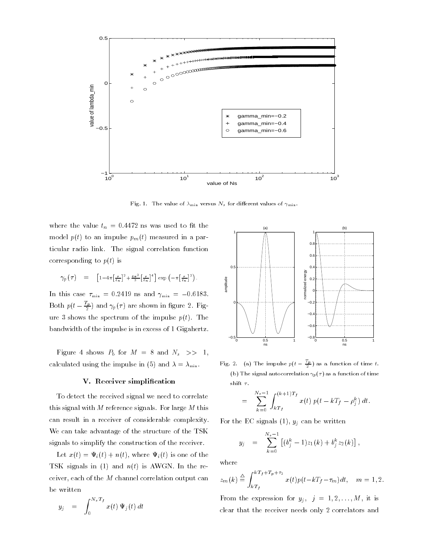

Fig. 1. The value of  $\lambda_{\min}$  versus  $N_s$  for different values of  $\gamma_{\min}$ .

where the value  $t_n = 0.4472$  ns was used to fit the model  $p(t)$  to an impulse  $p_m(t)$  measured in a particular radio link. The signal correlation function corresponding to  $p(t)$  is

$$
\gamma_p(\tau) = \left[1 - 4\pi \left[\frac{\tau}{t_n}\right]^2 + \frac{4\pi^2}{3} \left[\frac{\tau}{t_n}\right]^4\right] \exp\left(-\pi \left[\frac{\tau}{t_n}\right]^2\right).
$$

In this case  $\tau_{\min} = 0.2419$  ns and  $\gamma_{\min} = -0.6183$ . Both  $p(t-\frac{1}{2})$  and  $\gamma_p(\tau)$  are shown in figure 2. Figure 3 shows the spectrum of the impulse  $p(t)$ . The bandwidth of the impulse is in excess of 1 Gigahertz.

Figure 4 shows  $P_b$  for  $M = 8$  and  $N_s \implies 1$ , calculated using the impulse in (5) and  $\lambda = \lambda_{\min}$ .

#### V. Receiver simplification

To detect the received signal we need to correlate this signal with  $M$  reference signals. For large  $M$  this can result in a receiver of considerable complexity. We can take advantage of the structure of the TSK signals to simplify the construction of the receiver.

Let  $x(t) = \Psi_i(t) + n(t)$ , where  $\Psi_i(t)$  is one of the TSK signals in (1) and  $n(t)$  is AWGN. In the receiver, each of the  $M$  channel correlation output can be written

$$
y_j = \int_0^{N_s T_f} x(t) \Psi_j(t) dt
$$



Fig. 2. (a) The impulse  $p(t-\frac{1}{2})$  as a function of time t. (b) The signal autocorrelation  $\gamma_p(\tau)$  as a function of time shift  $\tau.$ 

$$
= \sum_{k=0}^{N_s-1} \int_{kT_f}^{(k+1)T_f} x(t) p(t - kT_f - \rho_j^k) dt.
$$

**Property** and *Property* and *Property* 

For the EC signals  $(1)$ ,  $y_j$  can be written

$$
y_j = \sum_{k=0}^{N_s-1} \left[ (b_j^k - 1) z_1(k) + b_j^k z_2(k) \right],
$$

where

$$
z_m(k) \stackrel{\triangle}{=} \int_{kT_f}^{kT_f + T_p + \tau_2} x(t) p(t - kT_f - \tau_m) dt, \quad m = 1, 2.
$$

From the expression for  $y_j$ ,  $j = 1, 2, ..., M$ , it is clear that the receiver needs only 2 correlators and